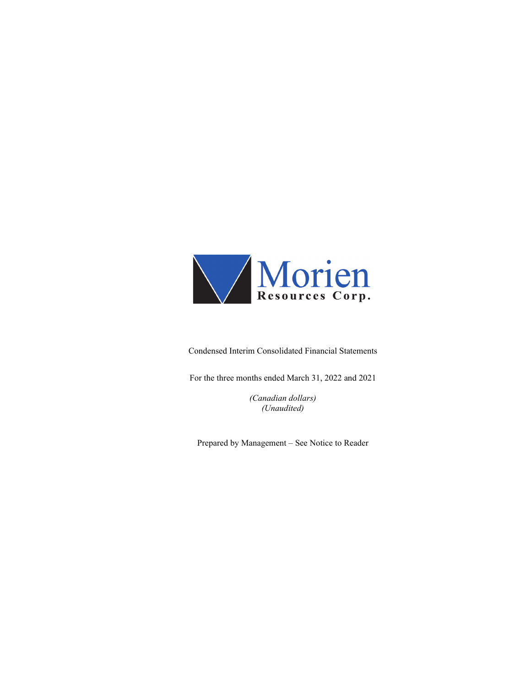

Condensed Interim Consolidated Financial Statements

For the three months ended March 31, 2022 and 2021

*(Canadian dollars) (Unaudited)*

Prepared by Management – See Notice to Reader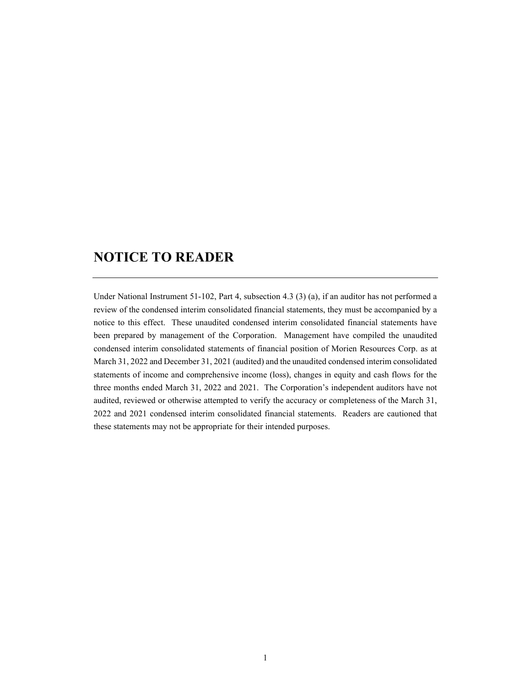# **NOTICE TO READER**

Under National Instrument 51-102, Part 4, subsection 4.3 (3) (a), if an auditor has not performed a review of the condensed interim consolidated financial statements, they must be accompanied by a notice to this effect. These unaudited condensed interim consolidated financial statements have been prepared by management of the Corporation. Management have compiled the unaudited condensed interim consolidated statements of financial position of Morien Resources Corp. as at March 31, 2022 and December 31, 2021 (audited) and the unaudited condensed interim consolidated statements of income and comprehensive income (loss), changes in equity and cash flows for the three months ended March 31, 2022 and 2021. The Corporation's independent auditors have not audited, reviewed or otherwise attempted to verify the accuracy or completeness of the March 31, 2022 and 2021 condensed interim consolidated financial statements. Readers are cautioned that these statements may not be appropriate for their intended purposes.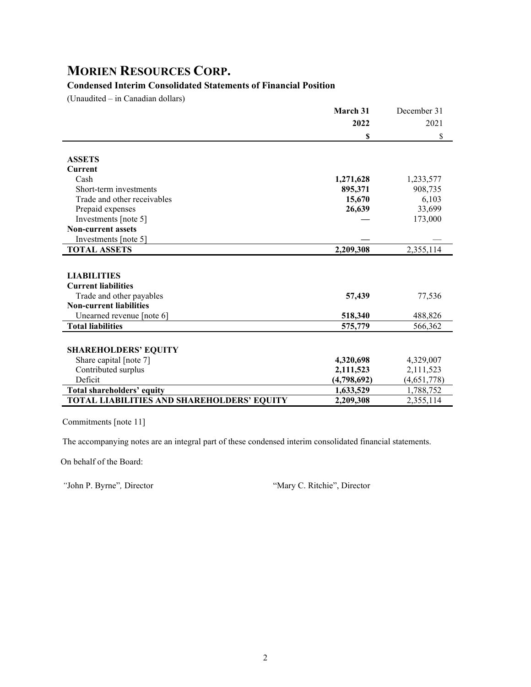## **Condensed Interim Consolidated Statements of Financial Position**

(Unaudited – in Canadian dollars)

|                                            | March 31    | December 31 |
|--------------------------------------------|-------------|-------------|
|                                            | 2022        | 2021        |
|                                            | S           | \$          |
| <b>ASSETS</b>                              |             |             |
| <b>Current</b>                             |             |             |
| Cash                                       | 1,271,628   | 1,233,577   |
| Short-term investments                     | 895,371     | 908,735     |
| Trade and other receivables                | 15,670      | 6,103       |
| Prepaid expenses                           | 26,639      | 33,699      |
| Investments [note 5]                       |             | 173,000     |
| <b>Non-current assets</b>                  |             |             |
| Investments [note 5]                       |             |             |
| <b>TOTAL ASSETS</b>                        | 2,209,308   | 2,355,114   |
|                                            |             |             |
| <b>LIABILITIES</b>                         |             |             |
| <b>Current liabilities</b>                 |             |             |
| Trade and other payables                   | 57,439      | 77,536      |
| <b>Non-current liabilities</b>             |             |             |
| Unearned revenue [note 6]                  | 518,340     | 488,826     |
| <b>Total liabilities</b>                   | 575,779     | 566,362     |
|                                            |             |             |
| <b>SHAREHOLDERS' EQUITY</b>                |             |             |
| Share capital [note 7]                     | 4,320,698   | 4,329,007   |
| Contributed surplus                        | 2,111,523   | 2,111,523   |
| Deficit                                    | (4,798,692) | (4,651,778) |
| <b>Total shareholders' equity</b>          | 1,633,529   | 1,788,752   |
| TOTAL LIABILITIES AND SHAREHOLDERS' EQUITY | 2,209,308   | 2,355,114   |

Commitments [note 11]

The accompanying notes are an integral part of these condensed interim consolidated financial statements.

On behalf of the Board:

*"*John P. Byrne"*,* Director "Mary C. Ritchie", Director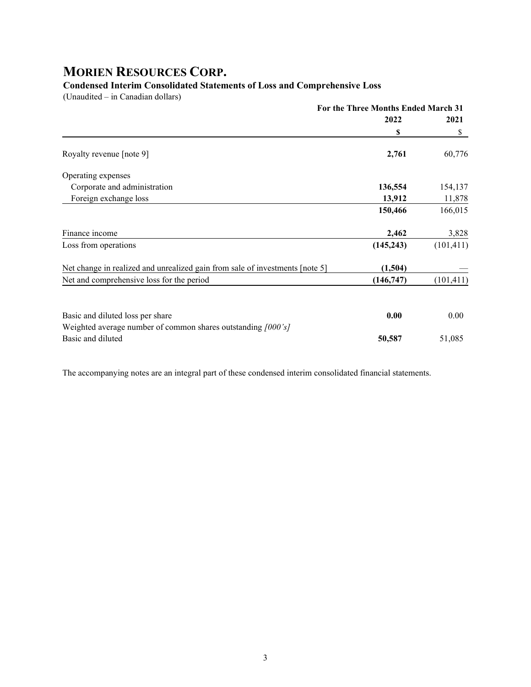### **Condensed Interim Consolidated Statements of Loss and Comprehensive Loss**

(Unaudited – in Canadian dollars)

|                                                                              | For the Three Months Ended March 31 |            |
|------------------------------------------------------------------------------|-------------------------------------|------------|
|                                                                              | 2022                                | 2021       |
|                                                                              | \$                                  | \$         |
| Royalty revenue [note 9]                                                     | 2,761                               | 60,776     |
| Operating expenses                                                           |                                     |            |
| Corporate and administration                                                 | 136,554                             | 154,137    |
| Foreign exchange loss                                                        | 13,912                              | 11,878     |
|                                                                              | 150,466                             | 166,015    |
| Finance income                                                               | 2,462                               | 3,828      |
| Loss from operations                                                         | (145, 243)                          | (101, 411) |
| Net change in realized and unrealized gain from sale of investments [note 5] | (1,504)                             |            |
| Net and comprehensive loss for the period                                    | (146,747)                           | (101, 411) |
|                                                                              |                                     |            |
| Basic and diluted loss per share                                             | 0.00                                | 0.00       |
| Weighted average number of common shares outstanding [000's]                 |                                     |            |
| Basic and diluted                                                            | 50,587                              | 51,085     |

The accompanying notes are an integral part of these condensed interim consolidated financial statements.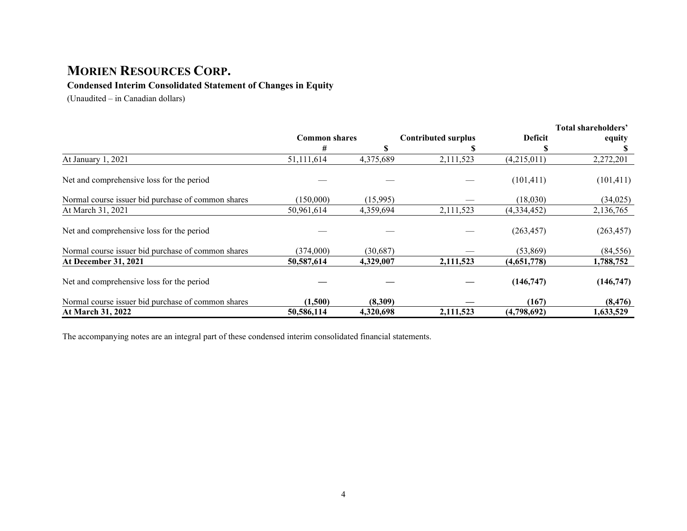### **Condensed Interim Consolidated Statement of Changes in Equity**

(Unaudited – in Canadian dollars)

|                                                    |                      |           |                            |                | Total shareholders' |
|----------------------------------------------------|----------------------|-----------|----------------------------|----------------|---------------------|
|                                                    | <b>Common shares</b> |           | <b>Contributed surplus</b> | <b>Deficit</b> | equity              |
|                                                    | #                    | S         |                            | S              |                     |
| At January 1, 2021                                 | 51,111,614           | 4,375,689 | 2,111,523                  | (4,215,011)    | 2,272,201           |
| Net and comprehensive loss for the period          |                      |           |                            | (101, 411)     | (101, 411)          |
| Normal course issuer bid purchase of common shares | (150,000)            | (15,995)  |                            | (18,030)       | (34,025)            |
| At March 31, 2021                                  | 50,961,614           | 4,359,694 | 2,111,523                  | (4,334,452)    | 2,136,765           |
| Net and comprehensive loss for the period          |                      |           |                            | (263, 457)     | (263, 457)          |
| Normal course issuer bid purchase of common shares | (374,000)            | (30,687)  |                            | (53,869)       | (84, 556)           |
| At December 31, 2021                               | 50,587,614           | 4,329,007 | 2,111,523                  | (4,651,778)    | 1,788,752           |
| Net and comprehensive loss for the period          |                      |           |                            | (146,747)      | (146,747)           |
| Normal course issuer bid purchase of common shares | (1,500)              | (8,309)   |                            | (167)          | (8, 476)            |
| At March 31, 2022                                  | 50,586,114           | 4,320,698 | 2,111,523                  | (4,798,692)    | 1,633,529           |

The accompanying notes are an integral part of these condensed interim consolidated financial statements.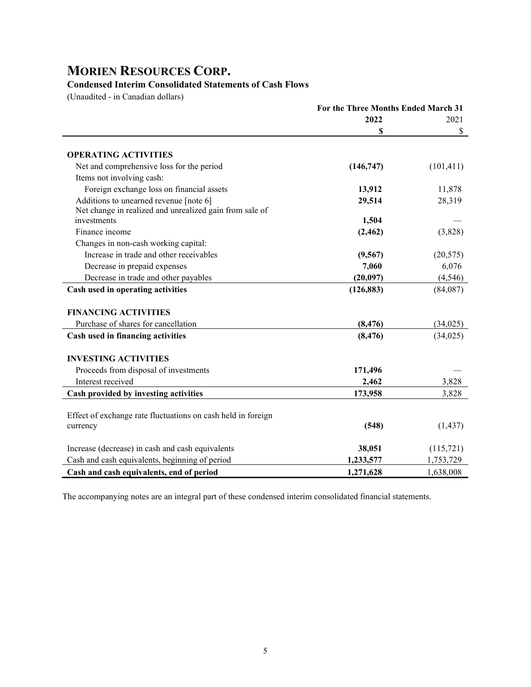## **Condensed Interim Consolidated Statements of Cash Flows**

(Unaudited - in Canadian dollars)

|                                                              | For the Three Months Ended March 31 |            |  |
|--------------------------------------------------------------|-------------------------------------|------------|--|
|                                                              | 2022                                | 2021       |  |
|                                                              | S                                   | \$         |  |
|                                                              |                                     |            |  |
| <b>OPERATING ACTIVITIES</b>                                  |                                     |            |  |
| Net and comprehensive loss for the period                    | (146, 747)                          | (101, 411) |  |
| Items not involving cash:                                    |                                     |            |  |
| Foreign exchange loss on financial assets                    | 13,912                              | 11,878     |  |
| Additions to unearned revenue [note 6]                       | 29,514                              | 28,319     |  |
| Net change in realized and unrealized gain from sale of      |                                     |            |  |
| investments                                                  | 1,504                               |            |  |
| Finance income                                               | (2, 462)                            | (3,828)    |  |
| Changes in non-cash working capital:                         |                                     |            |  |
| Increase in trade and other receivables                      | (9, 567)                            | (20, 575)  |  |
| Decrease in prepaid expenses                                 | 7,060                               | 6,076      |  |
| Decrease in trade and other payables                         | (20,097)                            | (4, 546)   |  |
| Cash used in operating activities                            | (126, 883)                          | (84,087)   |  |
| <b>FINANCING ACTIVITIES</b>                                  |                                     |            |  |
| Purchase of shares for cancellation                          | (8, 476)                            | (34, 025)  |  |
| Cash used in financing activities                            | (8, 476)                            | (34,025)   |  |
| <b>INVESTING ACTIVITIES</b>                                  |                                     |            |  |
| Proceeds from disposal of investments                        | 171,496                             |            |  |
| Interest received                                            | 2,462                               | 3,828      |  |
| Cash provided by investing activities                        | 173,958                             | 3,828      |  |
|                                                              |                                     |            |  |
| Effect of exchange rate fluctuations on cash held in foreign |                                     |            |  |
| currency                                                     | (548)                               | (1, 437)   |  |
| Increase (decrease) in cash and cash equivalents             | 38,051                              | (115,721)  |  |
| Cash and cash equivalents, beginning of period               | 1,233,577                           | 1,753,729  |  |
| Cash and cash equivalents, end of period                     | 1,271,628                           | 1,638,008  |  |

The accompanying notes are an integral part of these condensed interim consolidated financial statements.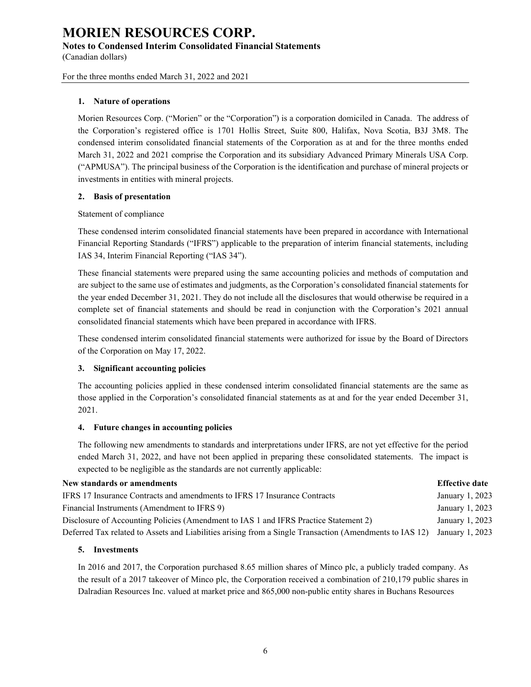#### **Notes to Condensed Interim Consolidated Financial Statements**

(Canadian dollars)

For the three months ended March 31, 2022 and 2021

#### **1. Nature of operations**

Morien Resources Corp. ("Morien" or the "Corporation") is a corporation domiciled in Canada. The address of the Corporation's registered office is 1701 Hollis Street, Suite 800, Halifax, Nova Scotia, B3J 3M8. The condensed interim consolidated financial statements of the Corporation as at and for the three months ended March 31, 2022 and 2021 comprise the Corporation and its subsidiary Advanced Primary Minerals USA Corp. ("APMUSA"). The principal business of the Corporation is the identification and purchase of mineral projects or investments in entities with mineral projects.

#### **2. Basis of presentation**

#### Statement of compliance

These condensed interim consolidated financial statements have been prepared in accordance with International Financial Reporting Standards ("IFRS") applicable to the preparation of interim financial statements, including IAS 34, Interim Financial Reporting ("IAS 34").

These financial statements were prepared using the same accounting policies and methods of computation and are subject to the same use of estimates and judgments, as the Corporation's consolidated financial statements for the year ended December 31, 2021. They do not include all the disclosures that would otherwise be required in a complete set of financial statements and should be read in conjunction with the Corporation's 2021 annual consolidated financial statements which have been prepared in accordance with IFRS.

These condensed interim consolidated financial statements were authorized for issue by the Board of Directors of the Corporation on May 17, 2022.

#### **3. Significant accounting policies**

The accounting policies applied in these condensed interim consolidated financial statements are the same as those applied in the Corporation's consolidated financial statements as at and for the year ended December 31, 2021.

#### **4. Future changes in accounting policies**

The following new amendments to standards and interpretations under IFRS, are not yet effective for the period ended March 31, 2022, and have not been applied in preparing these consolidated statements. The impact is expected to be negligible as the standards are not currently applicable:

## **New standards or amendments Effective date**

| IFRS 17 Insurance Contracts and amendments to IFRS 17 Insurance Contracts                                               | January 1, 2023 |
|-------------------------------------------------------------------------------------------------------------------------|-----------------|
| Financial Instruments (Amendment to IFRS 9)                                                                             | January 1, 2023 |
| Disclosure of Accounting Policies (Amendment to IAS 1 and IFRS Practice Statement 2)                                    | January 1, 2023 |
| Deferred Tax related to Assets and Liabilities arising from a Single Transaction (Amendments to IAS 12) January 1, 2023 |                 |

#### **5. Investments**

In 2016 and 2017, the Corporation purchased 8.65 million shares of Minco plc, a publicly traded company. As the result of a 2017 takeover of Minco plc, the Corporation received a combination of 210,179 public shares in Dalradian Resources Inc. valued at market price and 865,000 non-public entity shares in Buchans Resources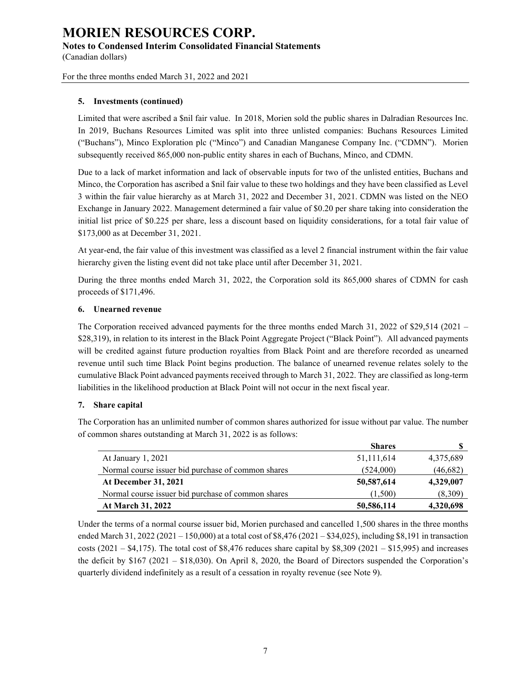#### **Notes to Condensed Interim Consolidated Financial Statements**

(Canadian dollars)

For the three months ended March 31, 2022 and 2021

#### **5. Investments (continued)**

Limited that were ascribed a \$nil fair value. In 2018, Morien sold the public shares in Dalradian Resources Inc. In 2019, Buchans Resources Limited was split into three unlisted companies: Buchans Resources Limited ("Buchans"), Minco Exploration plc ("Minco") and Canadian Manganese Company Inc. ("CDMN"). Morien subsequently received 865,000 non-public entity shares in each of Buchans, Minco, and CDMN.

Due to a lack of market information and lack of observable inputs for two of the unlisted entities, Buchans and Minco, the Corporation has ascribed a \$nil fair value to these two holdings and they have been classified as Level 3 within the fair value hierarchy as at March 31, 2022 and December 31, 2021. CDMN was listed on the NEO Exchange in January 2022. Management determined a fair value of \$0.20 per share taking into consideration the initial list price of \$0.225 per share, less a discount based on liquidity considerations, for a total fair value of \$173,000 as at December 31, 2021.

At year-end, the fair value of this investment was classified as a level 2 financial instrument within the fair value hierarchy given the listing event did not take place until after December 31, 2021.

During the three months ended March 31, 2022, the Corporation sold its 865,000 shares of CDMN for cash proceeds of \$171,496.

#### **6. Unearned revenue**

The Corporation received advanced payments for the three months ended March 31, 2022 of \$29,514 (2021 – \$28,319), in relation to its interest in the Black Point Aggregate Project ("Black Point"). All advanced payments will be credited against future production royalties from Black Point and are therefore recorded as unearned revenue until such time Black Point begins production. The balance of unearned revenue relates solely to the cumulative Black Point advanced payments received through to March 31, 2022. They are classified as long-term liabilities in the likelihood production at Black Point will not occur in the next fiscal year.

#### **7. Share capital**

The Corporation has an unlimited number of common shares authorized for issue without par value. The number of common shares outstanding at March 31, 2022 is as follows:

|                                                    | <b>Shares</b> |           |
|----------------------------------------------------|---------------|-----------|
| At January 1, 2021                                 | 51,111,614    | 4,375,689 |
| Normal course issuer bid purchase of common shares | (524,000)     | (46,682)  |
| <b>At December 31, 2021</b>                        | 50,587,614    | 4,329,007 |
| Normal course issuer bid purchase of common shares | (1,500)       | (8,309)   |
| <b>At March 31, 2022</b>                           | 50,586,114    | 4,320,698 |

Under the terms of a normal course issuer bid, Morien purchased and cancelled 1,500 shares in the three months ended March 31, 2022 (2021 – 150,000) at a total cost of \$8,476 (2021 – \$34,025), including \$8,191 in transaction costs (2021 – \$4,175). The total cost of \$8,476 reduces share capital by \$8,309 (2021 – \$15,995) and increases the deficit by \$167 (2021 – \$18,030). On April 8, 2020, the Board of Directors suspended the Corporation's quarterly dividend indefinitely as a result of a cessation in royalty revenue (see Note 9).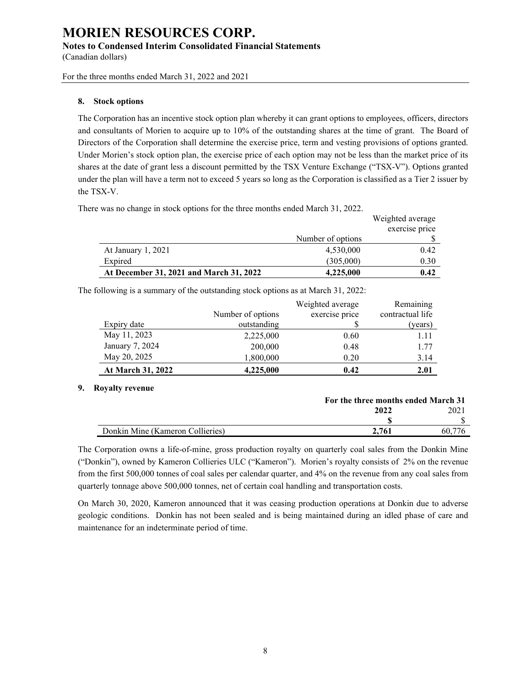#### **Notes to Condensed Interim Consolidated Financial Statements**

(Canadian dollars)

For the three months ended March 31, 2022 and 2021

#### **8. Stock options**

The Corporation has an incentive stock option plan whereby it can grant options to employees, officers, directors and consultants of Morien to acquire up to 10% of the outstanding shares at the time of grant. The Board of Directors of the Corporation shall determine the exercise price, term and vesting provisions of options granted. Under Morien's stock option plan, the exercise price of each option may not be less than the market price of its shares at the date of grant less a discount permitted by the TSX Venture Exchange ("TSX-V"). Options granted under the plan will have a term not to exceed 5 years so long as the Corporation is classified as a Tier 2 issuer by the TSX-V.

There was no change in stock options for the three months ended March 31, 2022.

|                                         |                   | Weighted average |
|-----------------------------------------|-------------------|------------------|
|                                         |                   | exercise price   |
|                                         | Number of options |                  |
| At January 1, 2021                      | 4,530,000         | 0.42             |
| Expired                                 | (305,000)         | 0.30             |
| At December 31, 2021 and March 31, 2022 | 4,225,000         | 0.42             |

The following is a summary of the outstanding stock options as at March 31, 2022:

|                   |                   | Weighted average | Remaining        |
|-------------------|-------------------|------------------|------------------|
|                   | Number of options | exercise price   | contractual life |
| Expiry date       | outstanding       |                  | (years)          |
| May 11, 2023      | 2,225,000         | 0.60             | 1.11             |
| January 7, 2024   | 200,000           | 0.48             | 1.77             |
| May 20, 2025      | 1,800,000         | 0.20             | 3.14             |
| At March 31, 2022 | 4,225,000         | 0.42             | 2.01             |

#### **9. Royalty revenue**

|                                  | For the three months ended March 31 |     |
|----------------------------------|-------------------------------------|-----|
|                                  | 2022                                | 202 |
|                                  |                                     |     |
| Donkin Mine (Kameron Collieries) | 2.761                               | 60. |
|                                  |                                     |     |

The Corporation owns a life-of-mine, gross production royalty on quarterly coal sales from the Donkin Mine ("Donkin"), owned by Kameron Collieries ULC ("Kameron"). Morien's royalty consists of 2% on the revenue from the first 500,000 tonnes of coal sales per calendar quarter, and 4% on the revenue from any coal sales from quarterly tonnage above 500,000 tonnes, net of certain coal handling and transportation costs.

On March 30, 2020, Kameron announced that it was ceasing production operations at Donkin due to adverse geologic conditions. Donkin has not been sealed and is being maintained during an idled phase of care and maintenance for an indeterminate period of time.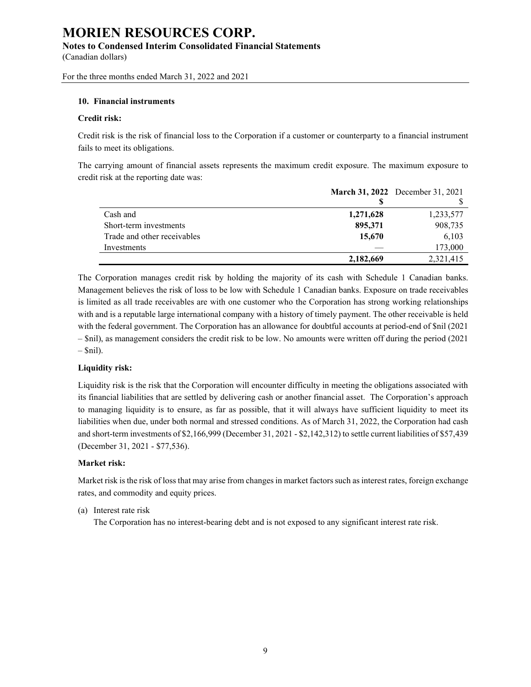#### **Notes to Condensed Interim Consolidated Financial Statements**

(Canadian dollars)

For the three months ended March 31, 2022 and 2021

#### **10. Financial instruments**

#### **Credit risk:**

Credit risk is the risk of financial loss to the Corporation if a customer or counterparty to a financial instrument fails to meet its obligations.

The carrying amount of financial assets represents the maximum credit exposure. The maximum exposure to credit risk at the reporting date was:

|                             |           | <b>March 31, 2022</b> December 31, 2021 |
|-----------------------------|-----------|-----------------------------------------|
|                             |           |                                         |
| Cash and                    | 1,271,628 | 1,233,577                               |
| Short-term investments      | 895,371   | 908,735                                 |
| Trade and other receivables | 15.670    | 6,103                                   |
| Investments                 |           | 173,000                                 |
|                             | 2,182,669 | 2,321,415                               |

The Corporation manages credit risk by holding the majority of its cash with Schedule 1 Canadian banks. Management believes the risk of loss to be low with Schedule 1 Canadian banks. Exposure on trade receivables is limited as all trade receivables are with one customer who the Corporation has strong working relationships with and is a reputable large international company with a history of timely payment. The other receivable is held with the federal government. The Corporation has an allowance for doubtful accounts at period-end of \$nil (2021 – \$nil), as management considers the credit risk to be low. No amounts were written off during the period (2021  $-$  \$nil).

#### **Liquidity risk:**

Liquidity risk is the risk that the Corporation will encounter difficulty in meeting the obligations associated with its financial liabilities that are settled by delivering cash or another financial asset. The Corporation's approach to managing liquidity is to ensure, as far as possible, that it will always have sufficient liquidity to meet its liabilities when due, under both normal and stressed conditions. As of March 31, 2022, the Corporation had cash and short-term investments of \$2,166,999 (December 31, 2021 - \$2,142,312) to settle current liabilities of \$57,439 (December 31, 2021 - \$77,536).

#### **Market risk:**

Market risk is the risk of loss that may arise from changes in market factors such as interest rates, foreign exchange rates, and commodity and equity prices.

#### (a) Interest rate risk

The Corporation has no interest-bearing debt and is not exposed to any significant interest rate risk.